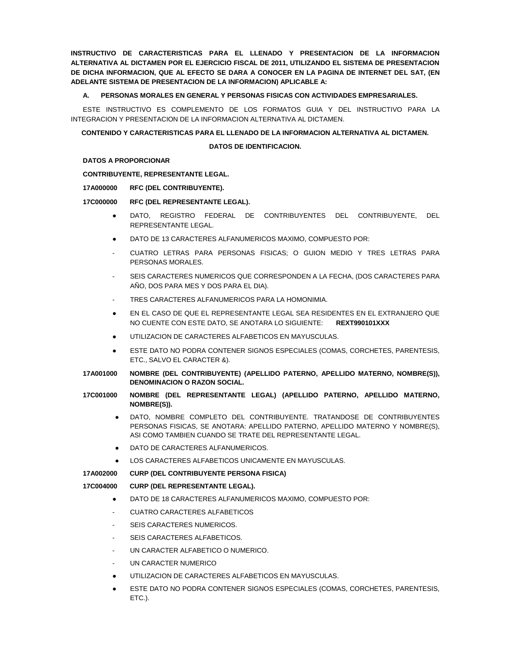**INSTRUCTIVO DE CARACTERISTICAS PARA EL LLENADO Y PRESENTACION DE LA INFORMACION ALTERNATIVA AL DICTAMEN POR EL EJERCICIO FISCAL DE 2011, UTILIZANDO EL SISTEMA DE PRESENTACION DE DICHA INFORMACION, QUE AL EFECTO SE DARA A CONOCER EN LA PAGINA DE INTERNET DEL SAT, (EN ADELANTE SISTEMA DE PRESENTACION DE LA INFORMACION) APLICABLE A:**

# **A. PERSONAS MORALES EN GENERAL Y PERSONAS FISICAS CON ACTIVIDADES EMPRESARIALES.**

ESTE INSTRUCTIVO ES COMPLEMENTO DE LOS FORMATOS GUIA Y DEL INSTRUCTIVO PARA LA INTEGRACION Y PRESENTACION DE LA INFORMACION ALTERNATIVA AL DICTAMEN.

### **CONTENIDO Y CARACTERISTICAS PARA EL LLENADO DE LA INFORMACION ALTERNATIVA AL DICTAMEN.**

### **DATOS DE IDENTIFICACION.**

# **DATOS A PROPORCIONAR**

# **CONTRIBUYENTE, REPRESENTANTE LEGAL.**

# **17A000000 RFC (DEL CONTRIBUYENTE).**

### **17C000000 RFC (DEL REPRESENTANTE LEGAL).**

- DATO, REGISTRO FEDERAL DE CONTRIBUYENTES DEL CONTRIBUYENTE, DEL REPRESENTANTE LEGAL.
- DATO DE 13 CARACTERES ALFANUMERICOS MAXIMO, COMPUESTO POR:
- CUATRO LETRAS PARA PERSONAS FISICAS; O GUION MEDIO Y TRES LETRAS PARA PERSONAS MORALES.
- SEIS CARACTERES NUMERICOS QUE CORRESPONDEN A LA FECHA, (DOS CARACTERES PARA AÑO, DOS PARA MES Y DOS PARA EL DIA).
- TRES CARACTERES ALFANUMERICOS PARA LA HOMONIMIA.
- EN EL CASO DE QUE EL REPRESENTANTE LEGAL SEA RESIDENTES EN EL EXTRANJERO QUE NO CUENTE CON ESTE DATO, SE ANOTARA LO SIGUIENTE: **REXT990101XXX**
- UTILIZACION DE CARACTERES ALFABETICOS EN MAYUSCULAS.
- **ESTE DATO NO PODRA CONTENER SIGNOS ESPECIALES (COMAS, CORCHETES, PARENTESIS,** ETC., SALVO EL CARACTER &).
- **17A001000 NOMBRE (DEL CONTRIBUYENTE) (APELLIDO PATERNO, APELLIDO MATERNO, NOMBRE(S)), DENOMINACION O RAZON SOCIAL.**
- **17C001000 NOMBRE (DEL REPRESENTANTE LEGAL) (APELLIDO PATERNO, APELLIDO MATERNO, NOMBRE(S)).**
	- DATO, NOMBRE COMPLETO DEL CONTRIBUYENTE. TRATANDOSE DE CONTRIBUYENTES PERSONAS FISICAS, SE ANOTARA: APELLIDO PATERNO, APELLIDO MATERNO Y NOMBRE(S), ASI COMO TAMBIEN CUANDO SE TRATE DEL REPRESENTANTE LEGAL.
	- DATO DE CARACTERES ALFANUMERICOS.
	- LOS CARACTERES ALFABETICOS UNICAMENTE EN MAYUSCULAS.

**17A002000 CURP (DEL CONTRIBUYENTE PERSONA FISICA)**

# **17C004000 CURP (DEL REPRESENTANTE LEGAL).**

- DATO DE 18 CARACTERES ALFANUMERICOS MAXIMO, COMPUESTO POR:
- CUATRO CARACTERES ALFABETICOS
- SEIS CARACTERES NUMERICOS.
- SEIS CARACTERES ALFABETICOS.
- UN CARACTER ALFABETICO O NUMERICO.
- UN CARACTER NUMERICO
- UTILIZACION DE CARACTERES ALFABETICOS EN MAYUSCULAS.
- ESTE DATO NO PODRA CONTENER SIGNOS ESPECIALES (COMAS, CORCHETES, PARENTESIS, ETC.).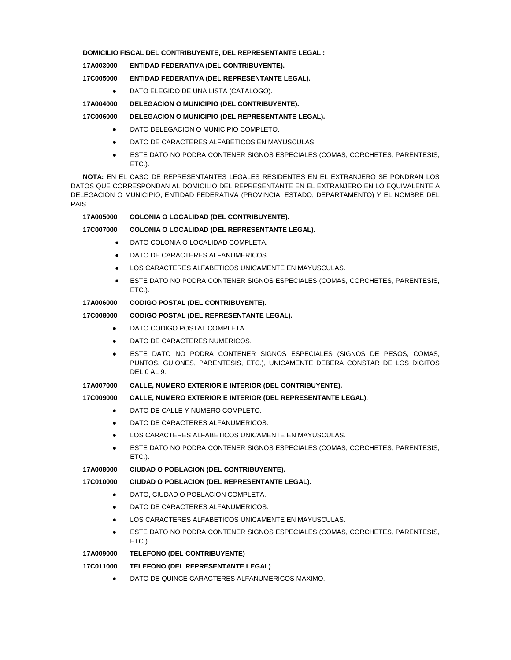**DOMICILIO FISCAL DEL CONTRIBUYENTE, DEL REPRESENTANTE LEGAL :**

**17A003000 ENTIDAD FEDERATIVA (DEL CONTRIBUYENTE).**

**17C005000 ENTIDAD FEDERATIVA (DEL REPRESENTANTE LEGAL).**

● DATO ELEGIDO DE UNA LISTA (CATALOGO).

**17A004000 DELEGACION O MUNICIPIO (DEL CONTRIBUYENTE).**

**17C006000 DELEGACION O MUNICIPIO (DEL REPRESENTANTE LEGAL).**

- DATO DELEGACION O MUNICIPIO COMPLETO.
- DATO DE CARACTERES ALFABETICOS EN MAYUSCULAS.
- **ESTE DATO NO PODRA CONTENER SIGNOS ESPECIALES (COMAS, CORCHETES, PARENTESIS,** ETC.).

**NOTA:** EN EL CASO DE REPRESENTANTES LEGALES RESIDENTES EN EL EXTRANJERO SE PONDRAN LOS DATOS QUE CORRESPONDAN AL DOMICILIO DEL REPRESENTANTE EN EL EXTRANJERO EN LO EQUIVALENTE A DELEGACION O MUNICIPIO, ENTIDAD FEDERATIVA (PROVINCIA, ESTADO, DEPARTAMENTO) Y EL NOMBRE DEL PAIS

### **17A005000 COLONIA O LOCALIDAD (DEL CONTRIBUYENTE).**

# **17C007000 COLONIA O LOCALIDAD (DEL REPRESENTANTE LEGAL).**

- DATO COLONIA O LOCALIDAD COMPLETA.
- DATO DE CARACTERES ALFANUMERICOS.
- LOS CARACTERES ALFABETICOS UNICAMENTE EN MAYUSCULAS.
- ESTE DATO NO PODRA CONTENER SIGNOS ESPECIALES (COMAS, CORCHETES, PARENTESIS, ETC.).

# **17A006000 CODIGO POSTAL (DEL CONTRIBUYENTE).**

## **17C008000 CODIGO POSTAL (DEL REPRESENTANTE LEGAL).**

- DATO CODIGO POSTAL COMPLETA.
- **DATO DE CARACTERES NUMERICOS.**
- ESTE DATO NO PODRA CONTENER SIGNOS ESPECIALES (SIGNOS DE PESOS, COMAS, PUNTOS, GUIONES, PARENTESIS, ETC.), UNICAMENTE DEBERA CONSTAR DE LOS DIGITOS DEL 0 AL 9.

# **17A007000 CALLE, NUMERO EXTERIOR E INTERIOR (DEL CONTRIBUYENTE).**

# **17C009000 CALLE, NUMERO EXTERIOR E INTERIOR (DEL REPRESENTANTE LEGAL).**

- DATO DE CALLE Y NUMERO COMPLETO.
- **DATO DE CARACTERES ALFANUMERICOS.**
- LOS CARACTERES ALFABETICOS UNICAMENTE EN MAYUSCULAS.
- ESTE DATO NO PODRA CONTENER SIGNOS ESPECIALES (COMAS, CORCHETES, PARENTESIS, ETC.).

#### **17A008000 CIUDAD O POBLACION (DEL CONTRIBUYENTE).**

#### **17C010000 CIUDAD O POBLACION (DEL REPRESENTANTE LEGAL).**

- **DATO, CIUDAD O POBLACION COMPLETA.**
- DATO DE CARACTERES ALFANUMERICOS.
- LOS CARACTERES ALFABETICOS UNICAMENTE EN MAYUSCULAS.
- ESTE DATO NO PODRA CONTENER SIGNOS ESPECIALES (COMAS, CORCHETES, PARENTESIS, ETC.).

# **17A009000 TELEFONO (DEL CONTRIBUYENTE)**

#### **17C011000 TELEFONO (DEL REPRESENTANTE LEGAL)**

**• DATO DE QUINCE CARACTERES ALFANUMERICOS MAXIMO.**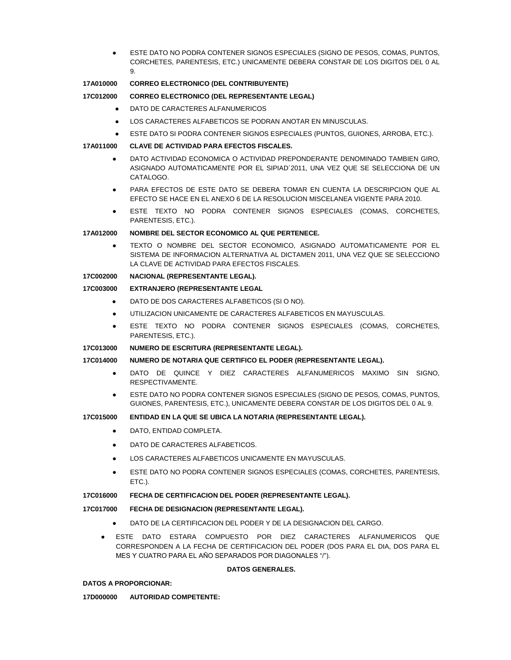ESTE DATO NO PODRA CONTENER SIGNOS ESPECIALES (SIGNO DE PESOS, COMAS, PUNTOS, CORCHETES, PARENTESIS, ETC.) UNICAMENTE DEBERA CONSTAR DE LOS DIGITOS DEL 0 AL 9.

# **17A010000 CORREO ELECTRONICO (DEL CONTRIBUYENTE)**

# **17C012000 CORREO ELECTRONICO (DEL REPRESENTANTE LEGAL)**

- DATO DE CARACTERES ALFANUMERICOS
- LOS CARACTERES ALFABETICOS SE PODRAN ANOTAR EN MINUSCULAS.
- ESTE DATO SI PODRA CONTENER SIGNOS ESPECIALES (PUNTOS, GUIONES, ARROBA, ETC.).

# **17A011000 CLAVE DE ACTIVIDAD PARA EFECTOS FISCALES.**

- DATO ACTIVIDAD ECONOMICA O ACTIVIDAD PREPONDERANTE DENOMINADO TAMBIEN GIRO, ASIGNADO AUTOMATICAMENTE POR EL SIPIAD´2011, UNA VEZ QUE SE SELECCIONA DE UN CATALOGO.
- PARA EFECTOS DE ESTE DATO SE DEBERA TOMAR EN CUENTA LA DESCRIPCION QUE AL EFECTO SE HACE EN EL ANEXO 6 DE LA RESOLUCION MISCELANEA VIGENTE PARA 2010.
- ESTE TEXTO NO PODRA CONTENER SIGNOS ESPECIALES (COMAS, CORCHETES, PARENTESIS, ETC.).

# **17A012000 NOMBRE DEL SECTOR ECONOMICO AL QUE PERTENECE.**

● TEXTO O NOMBRE DEL SECTOR ECONOMICO, ASIGNADO AUTOMATICAMENTE POR EL SISTEMA DE INFORMACION ALTERNATIVA AL DICTAMEN 2011, UNA VEZ QUE SE SELECCIONO LA CLAVE DE ACTIVIDAD PARA EFECTOS FISCALES.

# **17C002000 NACIONAL (REPRESENTANTE LEGAL).**

# **17C003000 EXTRANJERO (REPRESENTANTE LEGAL**

- DATO DE DOS CARACTERES ALFABETICOS (SI O NO).
- UTILIZACION UNICAMENTE DE CARACTERES ALFABETICOS EN MAYUSCULAS.
- **•** ESTE TEXTO NO PODRA CONTENER SIGNOS ESPECIALES (COMAS, CORCHETES, PARENTESIS, ETC.).

# **17C013000 NUMERO DE ESCRITURA (REPRESENTANTE LEGAL).**

# **17C014000 NUMERO DE NOTARIA QUE CERTIFICO EL PODER (REPRESENTANTE LEGAL).**

- DATO DE QUINCE Y DIEZ CARACTERES ALFANUMERICOS MAXIMO SIN SIGNO, RESPECTIVAMENTE.
- ESTE DATO NO PODRA CONTENER SIGNOS ESPECIALES (SIGNO DE PESOS, COMAS, PUNTOS, GUIONES, PARENTESIS, ETC.), UNICAMENTE DEBERA CONSTAR DE LOS DIGITOS DEL 0 AL 9.

# **17C015000 ENTIDAD EN LA QUE SE UBICA LA NOTARIA (REPRESENTANTE LEGAL).**

- DATO, ENTIDAD COMPLETA.
- DATO DE CARACTERES ALFABETICOS.
- LOS CARACTERES ALFABETICOS UNICAMENTE EN MAYUSCULAS.
- **ESTE DATO NO PODRA CONTENER SIGNOS ESPECIALES (COMAS, CORCHETES, PARENTESIS,** ETC.).

# **17C016000 FECHA DE CERTIFICACION DEL PODER (REPRESENTANTE LEGAL).**

# **17C017000 FECHA DE DESIGNACION (REPRESENTANTE LEGAL).**

- DATO DE LA CERTIFICACION DEL PODER Y DE LA DESIGNACION DEL CARGO.
- ESTE DATO ESTARA COMPUESTO POR DIEZ CARACTERES ALFANUMERICOS QUE CORRESPONDEN A LA FECHA DE CERTIFICACION DEL PODER (DOS PARA EL DIA, DOS PARA EL MES Y CUATRO PARA EL AÑO SEPARADOS POR DIAGONALES "/").

#### **DATOS GENERALES.**

# **DATOS A PROPORCIONAR:**

# **17D000000 AUTORIDAD COMPETENTE:**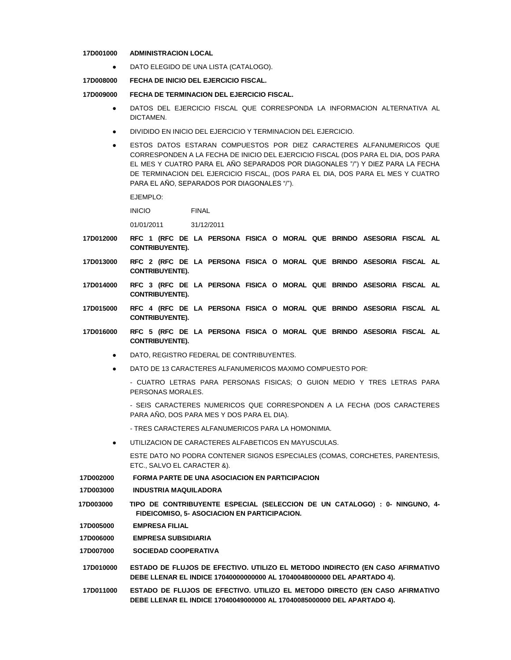#### **17D001000 ADMINISTRACION LOCAL**

● DATO ELEGIDO DE UNA LISTA (CATALOGO).

**17D008000 FECHA DE INICIO DEL EJERCICIO FISCAL.**

**17D009000 FECHA DE TERMINACION DEL EJERCICIO FISCAL.**

- DATOS DEL EJERCICIO FISCAL QUE CORRESPONDA LA INFORMACION ALTERNATIVA AL **DICTAMEN**
- DIVIDIDO EN INICIO DEL EJERCICIO Y TERMINACION DEL EJERCICIO.
- ESTOS DATOS ESTARAN COMPUESTOS POR DIEZ CARACTERES ALFANUMERICOS QUE CORRESPONDEN A LA FECHA DE INICIO DEL EJERCICIO FISCAL (DOS PARA EL DIA, DOS PARA EL MES Y CUATRO PARA EL AÑO SEPARADOS POR DIAGONALES "/") Y DIEZ PARA LA FECHA DE TERMINACION DEL EJERCICIO FISCAL, (DOS PARA EL DIA, DOS PARA EL MES Y CUATRO PARA EL AÑO, SEPARADOS POR DIAGONALES "/").

EJEMPLO:

INICIO FINAL

01/01/2011 31/12/2011

- **17D012000 RFC 1 (RFC DE LA PERSONA FISICA O MORAL QUE BRINDO ASESORIA FISCAL AL CONTRIBUYENTE).**
- **17D013000 RFC 2 (RFC DE LA PERSONA FISICA O MORAL QUE BRINDO ASESORIA FISCAL AL CONTRIBUYENTE).**
- **17D014000 RFC 3 (RFC DE LA PERSONA FISICA O MORAL QUE BRINDO ASESORIA FISCAL AL CONTRIBUYENTE).**
- **17D015000 RFC 4 (RFC DE LA PERSONA FISICA O MORAL QUE BRINDO ASESORIA FISCAL AL CONTRIBUYENTE).**
- **17D016000 RFC 5 (RFC DE LA PERSONA FISICA O MORAL QUE BRINDO ASESORIA FISCAL AL CONTRIBUYENTE).**
	- DATO, REGISTRO FEDERAL DE CONTRIBUYENTES.
	- DATO DE 13 CARACTERES ALFANUMERICOS MAXIMO COMPUESTO POR:
		- CUATRO LETRAS PARA PERSONAS FISICAS; O GUION MEDIO Y TRES LETRAS PARA PERSONAS MORALES.
		- SEIS CARACTERES NUMERICOS QUE CORRESPONDEN A LA FECHA (DOS CARACTERES PARA AÑO, DOS PARA MES Y DOS PARA EL DIA).

- TRES CARACTERES ALFANUMERICOS PARA LA HOMONIMIA.

● UTILIZACION DE CARACTERES ALFABETICOS EN MAYUSCULAS.

ESTE DATO NO PODRA CONTENER SIGNOS ESPECIALES (COMAS, CORCHETES, PARENTESIS, ETC., SALVO EL CARACTER &).

**17D002000 FORMA PARTE DE UNA ASOCIACION EN PARTICIPACION**

**17D003000 INDUSTRIA MAQUILADORA**

- **17D003000 TIPO DE CONTRIBUYENTE ESPECIAL (SELECCION DE UN CATALOGO) : 0- NINGUNO, 4- FIDEICOMISO, 5- ASOCIACION EN PARTICIPACION.**
- **17D005000 EMPRESA FILIAL**
- **17D006000 EMPRESA SUBSIDIARIA**

**17D007000 SOCIEDAD COOPERATIVA**

- **17D010000 ESTADO DE FLUJOS DE EFECTIVO. UTILIZO EL METODO INDIRECTO (EN CASO AFIRMATIVO DEBE LLENAR EL INDICE 17040000000000 AL 17040048000000 DEL APARTADO 4).**
- **17D011000 ESTADO DE FLUJOS DE EFECTIVO. UTILIZO EL METODO DIRECTO (EN CASO AFIRMATIVO DEBE LLENAR EL INDICE 17040049000000 AL 17040085000000 DEL APARTADO 4).**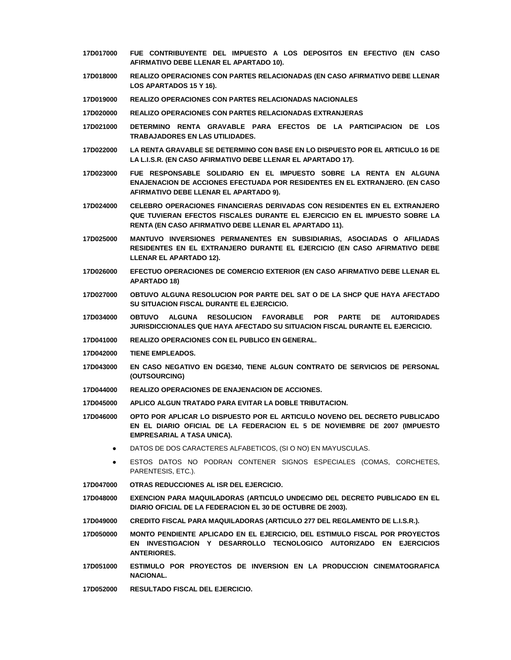- **17D017000 FUE CONTRIBUYENTE DEL IMPUESTO A LOS DEPOSITOS EN EFECTIVO (EN CASO AFIRMATIVO DEBE LLENAR EL APARTADO 10).**
- **17D018000 REALIZO OPERACIONES CON PARTES RELACIONADAS (EN CASO AFIRMATIVO DEBE LLENAR LOS APARTADOS 15 Y 16).**
- **17D019000 REALIZO OPERACIONES CON PARTES RELACIONADAS NACIONALES**
- **17D020000 REALIZO OPERACIONES CON PARTES RELACIONADAS EXTRANJERAS**
- **17D021000 DETERMINO RENTA GRAVABLE PARA EFECTOS DE LA PARTICIPACION DE LOS TRABAJADORES EN LAS UTILIDADES.**
- **17D022000 LA RENTA GRAVABLE SE DETERMINO CON BASE EN LO DISPUESTO POR EL ARTICULO 16 DE LA L.I.S.R. (EN CASO AFIRMATIVO DEBE LLENAR EL APARTADO 17).**
- **17D023000 FUE RESPONSABLE SOLIDARIO EN EL IMPUESTO SOBRE LA RENTA EN ALGUNA ENAJENACION DE ACCIONES EFECTUADA POR RESIDENTES EN EL EXTRANJERO. (EN CASO AFIRMATIVO DEBE LLENAR EL APARTADO 9).**
- **17D024000 CELEBRO OPERACIONES FINANCIERAS DERIVADAS CON RESIDENTES EN EL EXTRANJERO QUE TUVIERAN EFECTOS FISCALES DURANTE EL EJERCICIO EN EL IMPUESTO SOBRE LA RENTA (EN CASO AFIRMATIVO DEBE LLENAR EL APARTADO 11).**
- **17D025000 MANTUVO INVERSIONES PERMANENTES EN SUBSIDIARIAS, ASOCIADAS O AFILIADAS RESIDENTES EN EL EXTRANJERO DURANTE EL EJERCICIO (EN CASO AFIRMATIVO DEBE LLENAR EL APARTADO 12).**
- **17D026000 EFECTUO OPERACIONES DE COMERCIO EXTERIOR (EN CASO AFIRMATIVO DEBE LLENAR EL APARTADO 18)**
- **17D027000 OBTUVO ALGUNA RESOLUCION POR PARTE DEL SAT O DE LA SHCP QUE HAYA AFECTADO SU SITUACION FISCAL DURANTE EL EJERCICIO.**
- **17D034000 OBTUVO ALGUNA RESOLUCION FAVORABLE POR PARTE DE AUTORIDADES JURISDICCIONALES QUE HAYA AFECTADO SU SITUACION FISCAL DURANTE EL EJERCICIO.**
- **17D041000 REALIZO OPERACIONES CON EL PUBLICO EN GENERAL.**
- **17D042000 TIENE EMPLEADOS.**
- **17D043000 EN CASO NEGATIVO EN DGE340, TIENE ALGUN CONTRATO DE SERVICIOS DE PERSONAL (OUTSOURCING)**
- **17D044000 REALIZO OPERACIONES DE ENAJENACION DE ACCIONES.**
- **17D045000 APLICO ALGUN TRATADO PARA EVITAR LA DOBLE TRIBUTACION.**
- **17D046000 OPTO POR APLICAR LO DISPUESTO POR EL ARTICULO NOVENO DEL DECRETO PUBLICADO EN EL DIARIO OFICIAL DE LA FEDERACION EL 5 DE NOVIEMBRE DE 2007 (IMPUESTO EMPRESARIAL A TASA UNICA).**
	- DATOS DE DOS CARACTERES ALFABETICOS, (SI O NO) EN MAYUSCULAS.
	- **ESTOS DATOS NO PODRAN CONTENER SIGNOS ESPECIALES (COMAS, CORCHETES,** PARENTESIS, ETC.).
- **17D047000 OTRAS REDUCCIONES AL ISR DEL EJERCICIO.**
- **17D048000 EXENCION PARA MAQUILADORAS (ARTICULO UNDECIMO DEL DECRETO PUBLICADO EN EL DIARIO OFICIAL DE LA FEDERACION EL 30 DE OCTUBRE DE 2003).**
- **17D049000 CREDITO FISCAL PARA MAQUILADORAS (ARTICULO 277 DEL REGLAMENTO DE L.I.S.R.).**
- **17D050000 MONTO PENDIENTE APLICADO EN EL EJERCICIO, DEL ESTIMULO FISCAL POR PROYECTOS EN INVESTIGACION Y DESARROLLO TECNOLOGICO AUTORIZADO EN EJERCICIOS ANTERIORES.**
- **17D051000 ESTIMULO POR PROYECTOS DE INVERSION EN LA PRODUCCION CINEMATOGRAFICA NACIONAL.**
- **17D052000 RESULTADO FISCAL DEL EJERCICIO.**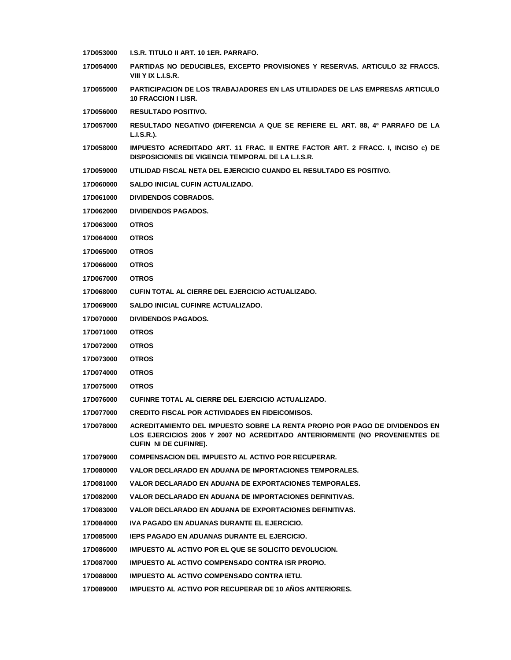| 17D053000        | I.S.R. TITULO II ART. 10 1ER. PARRAFO.                                                                                                                                                    |
|------------------|-------------------------------------------------------------------------------------------------------------------------------------------------------------------------------------------|
| <b>17D054000</b> | <b>PARTIDAS NO DEDUCIBLES. EXCEPTO PROVISIONES Y RESERVAS. ARTICULO 32 FRACCS.</b><br>VIII Y IX L.I.S.R.                                                                                  |
| 17D055000        | <b>PARTICIPACION DE LOS TRABAJADORES EN LAS UTILIDADES DE LAS EMPRESAS ARTICULO</b><br><b>10 FRACCION I LISR.</b>                                                                         |
| 17D056000        | <b>RESULTADO POSITIVO.</b>                                                                                                                                                                |
| 17D057000        | RESULTADO NEGATIVO (DIFERENCIA A QUE SE REFIERE EL ART. 88, 4º PARRAFO DE LA<br>L.I.S.R.).                                                                                                |
| 17D058000        | IMPUESTO ACREDITADO ART. 11 FRAC. II ENTRE FACTOR ART. 2 FRACC. I, INCISO c) DE<br>DISPOSICIONES DE VIGENCIA TEMPORAL DE LA L.I.S.R.                                                      |
| 17D059000        | UTILIDAD FISCAL NETA DEL EJERCICIO CUANDO EL RESULTADO ES POSITIVO.                                                                                                                       |
| 17D060000        | SALDO INICIAL CUFIN ACTUALIZADO.                                                                                                                                                          |
| 17D061000        | <b>DIVIDENDOS COBRADOS.</b>                                                                                                                                                               |
| <b>17D062000</b> | <b>DIVIDENDOS PAGADOS.</b>                                                                                                                                                                |
| 17D063000        | <b>OTROS</b>                                                                                                                                                                              |
| 17D064000        | <b>OTROS</b>                                                                                                                                                                              |
| 17D065000        | <b>OTROS</b>                                                                                                                                                                              |
| <b>17D066000</b> | <b>OTROS</b>                                                                                                                                                                              |
| 17D067000        | <b>OTROS</b>                                                                                                                                                                              |
| 17D068000        | CUFIN TOTAL AL CIERRE DEL EJERCICIO ACTUALIZADO.                                                                                                                                          |
| 17D069000        | SALDO INICIAL CUFINRE ACTUALIZADO.                                                                                                                                                        |
| <b>17D070000</b> | <b>DIVIDENDOS PAGADOS.</b>                                                                                                                                                                |
| 17D071000        | <b>OTROS</b>                                                                                                                                                                              |
| 17D072000        | <b>OTROS</b>                                                                                                                                                                              |
| 17D073000        | <b>OTROS</b>                                                                                                                                                                              |
| 17D074000        | <b>OTROS</b>                                                                                                                                                                              |
| 17D075000        | <b>OTROS</b>                                                                                                                                                                              |
| <b>17D076000</b> | CUFINRE TOTAL AL CIERRE DEL EJERCICIO ACTUALIZADO.                                                                                                                                        |
| 17D077000        | <b>CREDITO FISCAL POR ACTIVIDADES EN FIDEICOMISOS.</b>                                                                                                                                    |
| 17D078000        | ACREDITAMIENTO DEL IMPUESTO SOBRE LA RENTA PROPIO POR PAGO DE DIVIDENDOS EN<br>LOS EJERCICIOS 2006 Y 2007 NO ACREDITADO ANTERIORMENTE (NO PROVENIENTES DE<br><b>CUFIN NI DE CUFINRE).</b> |
| 17D079000        | <b>COMPENSACION DEL IMPUESTO AL ACTIVO POR RECUPERAR.</b>                                                                                                                                 |
| 17D080000        | VALOR DECLARADO EN ADUANA DE IMPORTACIONES TEMPORALES.                                                                                                                                    |
| 17D081000        | VALOR DECLARADO EN ADUANA DE EXPORTACIONES TEMPORALES.                                                                                                                                    |
| 17D082000        | VALOR DECLARADO EN ADUANA DE IMPORTACIONES DEFINITIVAS.                                                                                                                                   |
| 17D083000        | VALOR DECLARADO EN ADUANA DE EXPORTACIONES DEFINITIVAS.                                                                                                                                   |
| 17D084000        | IVA PAGADO EN ADUANAS DURANTE EL EJERCICIO.                                                                                                                                               |
| 17D085000        | IEPS PAGADO EN ADUANAS DURANTE EL EJERCICIO.                                                                                                                                              |
| 17D086000        | <b>IMPUESTO AL ACTIVO POR EL QUE SE SOLICITO DEVOLUCION.</b>                                                                                                                              |
| 17D087000        | IMPUESTO AL ACTIVO COMPENSADO CONTRA ISR PROPIO.                                                                                                                                          |
| 17D088000        | IMPUESTO AL ACTIVO COMPENSADO CONTRA IETU.                                                                                                                                                |
| 17D089000        | IMPUESTO AL ACTIVO POR RECUPERAR DE 10 AÑOS ANTERIORES.                                                                                                                                   |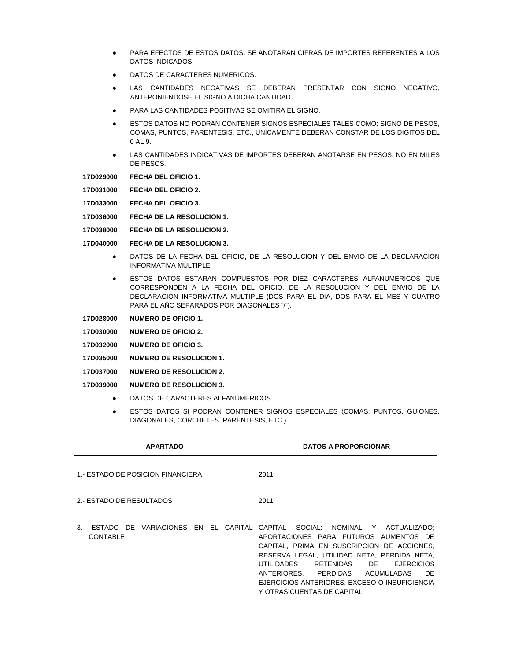- PARA EFECTOS DE ESTOS DATOS, SE ANOTARAN CIFRAS DE IMPORTES REFERENTES A LOS DATOS INDICADOS.
- DATOS DE CARACTERES NUMERICOS.
- LAS CANTIDADES NEGATIVAS SE DEBERAN PRESENTAR CON SIGNO NEGATIVO, ANTEPONIENDOSE EL SIGNO A DICHA CANTIDAD.
- PARA LAS CANTIDADES POSITIVAS SE OMITIRA EL SIGNO.
- ESTOS DATOS NO PODRAN CONTENER SIGNOS ESPECIALES TALES COMO: SIGNO DE PESOS, COMAS, PUNTOS, PARENTESIS, ETC., UNICAMENTE DEBERAN CONSTAR DE LOS DIGITOS DEL 0 AL 9.
- **LAS CANTIDADES INDICATIVAS DE IMPORTES DEBERAN ANOTARSE EN PESOS, NO EN MILES** DE PESOS.

**17D029000 FECHA DEL OFICIO 1.**

- **17D031000 FECHA DEL OFICIO 2.**
- **17D033000 FECHA DEL OFICIO 3.**
- **17D036000 FECHA DE LA RESOLUCION 1.**
- **17D038000 FECHA DE LA RESOLUCION 2.**
- **17D040000 FECHA DE LA RESOLUCION 3.**
	- DATOS DE LA FECHA DEL OFICIO, DE LA RESOLUCION Y DEL ENVIO DE LA DECLARACION INFORMATIVA MULTIPLE.
	- ESTOS DATOS ESTARAN COMPUESTOS POR DIEZ CARACTERES ALFANUMERICOS QUE CORRESPONDEN A LA FECHA DEL OFICIO, DE LA RESOLUCION Y DEL ENVIO DE LA DECLARACION INFORMATIVA MULTIPLE (DOS PARA EL DIA, DOS PARA EL MES Y CUATRO PARA EL AÑO SEPARADOS POR DIAGONALES "/").
- **17D028000 NUMERO DE OFICIO 1.**
- **17D030000 NUMERO DE OFICIO 2.**
- **17D032000 NUMERO DE OFICIO 3.**
- **17D035000 NUMERO DE RESOLUCION 1.**
- **17D037000 NUMERO DE RESOLUCION 2.**

#### **17D039000 NUMERO DE RESOLUCION 3.**

- DATOS DE CARACTERES ALFANUMERICOS.
- **ESTOS DATOS SI PODRAN CONTENER SIGNOS ESPECIALES (COMAS, PUNTOS, GUIONES,** DIAGONALES, CORCHETES, PARENTESIS, ETC.).

| <b>APARTADO</b>                                           | <b>DATOS A PROPORCIONAR</b>                                                                                                                                                                                                                                                                                                                              |
|-----------------------------------------------------------|----------------------------------------------------------------------------------------------------------------------------------------------------------------------------------------------------------------------------------------------------------------------------------------------------------------------------------------------------------|
| 1. ESTADO DE POSICION FINANCIERA                          | 2011                                                                                                                                                                                                                                                                                                                                                     |
| 2. ESTADO DE RESULTADOS                                   | 2011                                                                                                                                                                                                                                                                                                                                                     |
| 3. ESTADO DE VARIACIONES EN EL CAPITAL<br><b>CONTABLE</b> | CAPITAL SOCIAL: NOMINAL Y ACTUALIZADO:<br>APORTACIONES PARA FUTUROS AUMENTOS DE<br>CAPITAL, PRIMA EN SUSCRIPCION DE ACCIONES.<br>RESERVA LEGAL, UTILIDAD NETA, PERDIDA NETA,<br>UTILIDADES<br>RETENIDAS DE<br><b>EJERCICIOS</b><br>ANTERIORES. PERDIDAS ACUMULADAS<br>DE.<br>EJERCICIOS ANTERIORES, EXCESO O INSUFICIENCIA<br>Y OTRAS CUENTAS DE CAPITAL |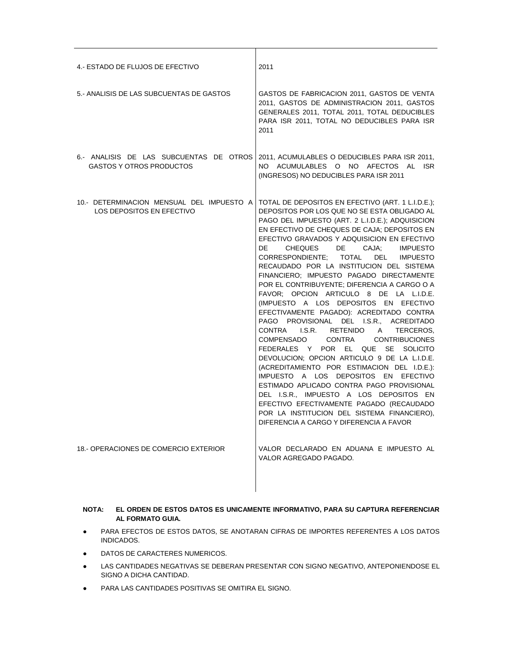| 4. ESTADO DE FLUJOS DE EFECTIVO                                            | 2011                                                                                                                                                                                                                                                                                                                                                                                                                                                                                                                                                                                                                                                                                                                                                                                                                                                                                                                                                                                                                                                                                                                                                                   |
|----------------------------------------------------------------------------|------------------------------------------------------------------------------------------------------------------------------------------------------------------------------------------------------------------------------------------------------------------------------------------------------------------------------------------------------------------------------------------------------------------------------------------------------------------------------------------------------------------------------------------------------------------------------------------------------------------------------------------------------------------------------------------------------------------------------------------------------------------------------------------------------------------------------------------------------------------------------------------------------------------------------------------------------------------------------------------------------------------------------------------------------------------------------------------------------------------------------------------------------------------------|
| 5. ANALISIS DE LAS SUBCUENTAS DE GASTOS                                    | GASTOS DE FABRICACION 2011, GASTOS DE VENTA<br>2011, GASTOS DE ADMINISTRACION 2011, GASTOS<br>GENERALES 2011, TOTAL 2011, TOTAL DEDUCIBLES<br>PARA ISR 2011, TOTAL NO DEDUCIBLES PARA ISR<br>2011                                                                                                                                                                                                                                                                                                                                                                                                                                                                                                                                                                                                                                                                                                                                                                                                                                                                                                                                                                      |
| 6.- ANALISIS DE LAS SUBCUENTAS DE OTROS<br><b>GASTOS Y OTROS PRODUCTOS</b> | 2011, ACUMULABLES O DEDUCIBLES PARA ISR 2011,<br>NO ACUMULABLES O NO AFECTOS AL ISR<br>(INGRESOS) NO DEDUCIBLES PARA ISR 2011                                                                                                                                                                                                                                                                                                                                                                                                                                                                                                                                                                                                                                                                                                                                                                                                                                                                                                                                                                                                                                          |
| 10.- DETERMINACION MENSUAL DEL IMPUESTO A<br>LOS DEPOSITOS EN EFECTIVO     | TOTAL DE DEPOSITOS EN EFECTIVO (ART. 1 L.I.D.E.);<br>DEPOSITOS POR LOS QUE NO SE ESTA OBLIGADO AL<br>PAGO DEL IMPUESTO (ART. 2 L.I.D.E.); ADQUISICION<br>EN EFECTIVO DE CHEQUES DE CAJA; DEPOSITOS EN<br>EFECTIVO GRAVADOS Y ADQUISICION EN EFECTIVO<br>DE<br>CHEQUES DE<br>CAJA: IMPUESTO<br>CORRESPONDIENTE; TOTAL DEL<br><b>IMPUESTO</b><br>RECAUDADO POR LA INSTITUCION DEL SISTEMA<br>FINANCIERO; IMPUESTO PAGADO DIRECTAMENTE<br>POR EL CONTRIBUYENTE; DIFERENCIA A CARGO O A<br>FAVOR; OPCION ARTICULO 8 DE LA L.I.D.E.<br>(IMPUESTO A LOS DEPOSITOS EN EFECTIVO<br>EFECTIVAMENTE PAGADO): ACREDITADO CONTRA<br>PAGO PROVISIONAL DEL I.S.R., ACREDITADO<br>CONTRA I.S.R.<br>RETENIDO A<br>TERCEROS.<br>COMPENSADO<br><b>CONTRIBUCIONES</b><br>CONTRA<br>FEDERALES Y POR EL QUE SE SOLICITO<br>DEVOLUCION; OPCION ARTICULO 9 DE LA L.I.D.E.<br>(ACREDITAMIENTO POR ESTIMACION DEL I.D.E.):<br>IMPUESTO A LOS DEPOSITOS EN EFECTIVO<br>ESTIMADO APLICADO CONTRA PAGO PROVISIONAL<br>DEL I.S.R., IMPUESTO A LOS DEPOSITOS EN<br>EFECTIVO EFECTIVAMENTE PAGADO (RECAUDADO<br>POR LA INSTITUCION DEL SISTEMA FINANCIERO),<br>DIFERENCIA A CARGO Y DIFERENCIA A FAVOR |
| 18.- OPERACIONES DE COMERCIO EXTERIOR                                      | VALOR DECLARADO EN ADUANA E IMPUESTO AL<br>VALOR AGREGADO PAGADO.                                                                                                                                                                                                                                                                                                                                                                                                                                                                                                                                                                                                                                                                                                                                                                                                                                                                                                                                                                                                                                                                                                      |

⊤

# **NOTA: EL ORDEN DE ESTOS DATOS ES UNICAMENTE INFORMATIVO, PARA SU CAPTURA REFERENCIAR AL FORMATO GUIA.**

- PARA EFECTOS DE ESTOS DATOS, SE ANOTARAN CIFRAS DE IMPORTES REFERENTES A LOS DATOS INDICADOS.
- DATOS DE CARACTERES NUMERICOS.
- LAS CANTIDADES NEGATIVAS SE DEBERAN PRESENTAR CON SIGNO NEGATIVO, ANTEPONIENDOSE EL SIGNO A DICHA CANTIDAD.
- PARA LAS CANTIDADES POSITIVAS SE OMITIRA EL SIGNO.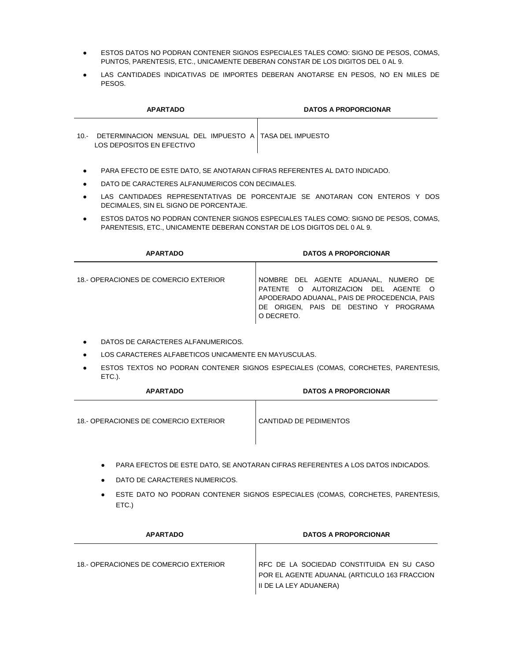- ESTOS DATOS NO PODRAN CONTENER SIGNOS ESPECIALES TALES COMO: SIGNO DE PESOS, COMAS, PUNTOS, PARENTESIS, ETC., UNICAMENTE DEBERAN CONSTAR DE LOS DIGITOS DEL 0 AL 9.
- LAS CANTIDADES INDICATIVAS DE IMPORTES DEBERAN ANOTARSE EN PESOS, NO EN MILES DE PESOS.

|        | <b>APARTADO</b>                                                                     | <b>DATOS A PROPORCIONAR</b> |
|--------|-------------------------------------------------------------------------------------|-----------------------------|
| $10 -$ | DETERMINACION MENSUAL DEL IMPUESTO A TASA DEL IMPUESTO<br>LOS DEPOSITOS EN EFECTIVO |                             |

- PARA EFECTO DE ESTE DATO, SE ANOTARAN CIFRAS REFERENTES AL DATO INDICADO.
- DATO DE CARACTERES ALFANUMERICOS CON DECIMALES.
- LAS CANTIDADES REPRESENTATIVAS DE PORCENTAJE SE ANOTARAN CON ENTEROS Y DOS DECIMALES, SIN EL SIGNO DE PORCENTAJE.
- ESTOS DATOS NO PODRAN CONTENER SIGNOS ESPECIALES TALES COMO: SIGNO DE PESOS, COMAS, PARENTESIS, ETC., UNICAMENTE DEBERAN CONSTAR DE LOS DIGITOS DEL 0 AL 9.

| <b>APARTADO</b>                       | <b>DATOS A PROPORCIONAR</b>                                                                                                                                                        |
|---------------------------------------|------------------------------------------------------------------------------------------------------------------------------------------------------------------------------------|
| 18.- OPERACIONES DE COMERCIO EXTERIOR | NOMBRE DEL AGENTE ADUANAL, NUMERO DE<br>PATENTE O AUTORIZACION DEL AGENTE O<br>APODERADO ADUANAL, PAIS DE PROCEDENCIA, PAIS<br>DE ORIGEN. PAIS DE DESTINO Y PROGRAMA<br>O DECRETO. |

- DATOS DE CARACTERES ALFANUMERICOS.
- LOS CARACTERES ALFABETICOS UNICAMENTE EN MAYUSCULAS.
- **ESTOS TEXTOS NO PODRAN CONTENER SIGNOS ESPECIALES (COMAS, CORCHETES, PARENTESIS,** ETC.).

| <b>APARTADO</b>                       | <b>DATOS A PROPORCIONAR</b> |
|---------------------------------------|-----------------------------|
| 18.- OPERACIONES DE COMERCIO EXTERIOR | CANTIDAD DE PEDIMENTOS      |

- PARA EFECTOS DE ESTE DATO, SE ANOTARAN CIFRAS REFERENTES A LOS DATOS INDICADOS.
- **DATO DE CARACTERES NUMERICOS.**
- ESTE DATO NO PODRAN CONTENER SIGNOS ESPECIALES (COMAS, CORCHETES, PARENTESIS, ETC.)

| <b>APARTADO</b>                       | <b>DATOS A PROPORCIONAR</b>                                                                                         |
|---------------------------------------|---------------------------------------------------------------------------------------------------------------------|
| 18.- OPERACIONES DE COMERCIO EXTERIOR | RFC DE LA SOCIEDAD CONSTITUIDA EN SU CASO<br>POR EL AGENTE ADUANAL (ARTICULO 163 FRACCION<br>II DE LA LEY ADUANERA) |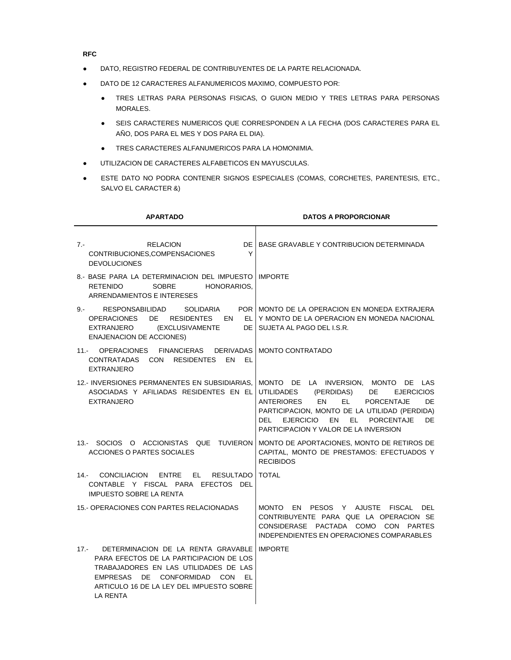**RFC**

- DATO, REGISTRO FEDERAL DE CONTRIBUYENTES DE LA PARTE RELACIONADA.
- DATO DE 12 CARACTERES ALFANUMERICOS MAXIMO, COMPUESTO POR:
	- TRES LETRAS PARA PERSONAS FISICAS, O GUION MEDIO Y TRES LETRAS PARA PERSONAS MORALES.
	- SEIS CARACTERES NUMERICOS QUE CORRESPONDEN A LA FECHA (DOS CARACTERES PARA EL AÑO, DOS PARA EL MES Y DOS PARA EL DIA).
	- TRES CARACTERES ALFANUMERICOS PARA LA HOMONIMIA.
- UTILIZACION DE CARACTERES ALFABETICOS EN MAYUSCULAS.
- ESTE DATO NO PODRA CONTENER SIGNOS ESPECIALES (COMAS, CORCHETES, PARENTESIS, ETC., SALVO EL CARACTER &)

| <b>APARTADO</b>                                                                                                                                                                                                                      | <b>DATOS A PROPORCIONAR</b>                                                                                                                                                                                                                                                                                                           |
|--------------------------------------------------------------------------------------------------------------------------------------------------------------------------------------------------------------------------------------|---------------------------------------------------------------------------------------------------------------------------------------------------------------------------------------------------------------------------------------------------------------------------------------------------------------------------------------|
| DE I<br><b>RELACION</b><br>7.-<br>Y<br>CONTRIBUCIONES, COMPENSACIONES<br><b>DEVOLUCIONES</b>                                                                                                                                         | BASE GRAVABLE Y CONTRIBUCION DETERMINADA                                                                                                                                                                                                                                                                                              |
| 8.- BASE PARA LA DETERMINACION DEL IMPUESTO I IMPORTE<br><b>SOBRE</b><br><b>RETENIDO</b><br>HONORARIOS.<br><b>ARRENDAMIENTOS E INTERESES</b>                                                                                         |                                                                                                                                                                                                                                                                                                                                       |
| $9 -$<br>RESPONSABILIDAD<br>SOLIDARIA<br><b>OPERACIONES</b><br>DE 1<br><b>RESIDENTES</b><br>EN<br>EL.<br>EXTRANJERO<br>(EXCLUSIVAMENTE<br><b>ENAJENACION DE ACCIONES)</b>                                                            | POR   MONTO DE LA OPERACION EN MONEDA EXTRAJERA<br>Y MONTO DE LA OPERACION EN MONEDA NACIONAL<br>DE I SUJETA AL PAGO DEL I.S.R.                                                                                                                                                                                                       |
| <b>OPERACIONES</b><br>FINANCIERAS<br><b>DERIVADAS</b><br>$11 -$<br>CONTRATADAS CON RESIDENTES<br>EN<br>- EL<br><b>EXTRANJERO</b>                                                                                                     | <b>MONTO CONTRATADO</b>                                                                                                                                                                                                                                                                                                               |
| 12.- INVERSIONES PERMANENTES EN SUBSIDIARIAS.<br>ASOCIADAS Y AFILIADAS RESIDENTES EN EL<br><b>EXTRANJERO</b>                                                                                                                         | MONTO DE LA INVERSION, MONTO DE LAS<br>(PERDIDAS)<br>DE 1<br>UTILIDADES<br><b>EJERCICIOS</b><br><b>ANTERIORES</b><br><b>EN</b><br>EL <b>International</b><br><b>PORCENTAJE</b><br>DE<br>PARTICIPACION, MONTO DE LA UTILIDAD (PERDIDA)<br><b>EJERCICIO</b><br>EN EL PORCENTAJE<br>DEL.<br>DE.<br>PARTICIPACION Y VALOR DE LA INVERSION |
| 13.- SOCIOS O ACCIONISTAS QUE TUVIERON<br>ACCIONES O PARTES SOCIALES                                                                                                                                                                 | MONTO DE APORTACIONES, MONTO DE RETIROS DE<br>CAPITAL, MONTO DE PRESTAMOS: EFECTUADOS Y<br><b>RECIBIDOS</b>                                                                                                                                                                                                                           |
| CONCILIACION<br><b>ENTRE</b><br>14.-<br>EL –<br><b>RESULTADO</b><br>CONTABLE Y FISCAL PARA EFECTOS DEL<br><b>IMPUESTO SOBRE LA RENTA</b>                                                                                             | <b>TOTAL</b>                                                                                                                                                                                                                                                                                                                          |
| 15.- OPERACIONES CON PARTES RELACIONADAS                                                                                                                                                                                             | <b>MONTO</b><br>EN PESOS Y AJUSTE<br>FISCAL<br>DEL<br>CONTRIBUYENTE PARA QUE LA OPERACION SE<br>CONSIDERASE PACTADA COMO CON PARTES<br>INDEPENDIENTES EN OPERACIONES COMPARABLES                                                                                                                                                      |
| DETERMINACION DE LA RENTA GRAVABLE<br>$17 -$<br>PARA EFECTOS DE LA PARTICIPACION DE LOS<br>TRABAJADORES EN LAS UTILIDADES DE LAS<br>EMPRESAS DE CONFORMIDAD CON<br>EL<br>ARTICULO 16 DE LA LEY DEL IMPUESTO SOBRE<br><b>LA RENTA</b> | <b>IMPORTE</b>                                                                                                                                                                                                                                                                                                                        |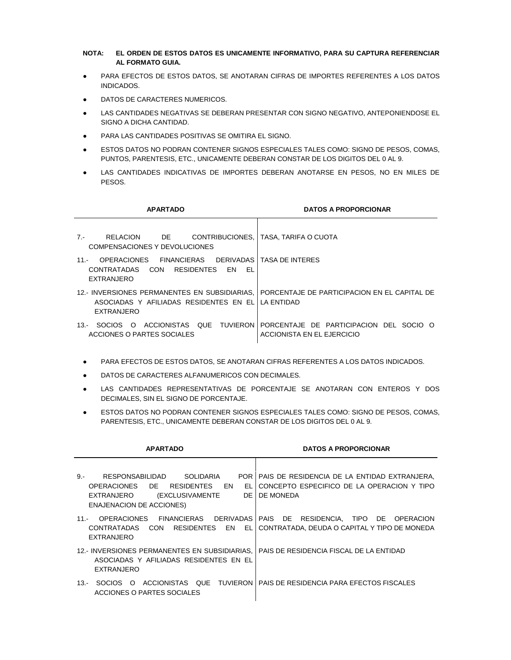# **NOTA: EL ORDEN DE ESTOS DATOS ES UNICAMENTE INFORMATIVO, PARA SU CAPTURA REFERENCIAR AL FORMATO GUIA.**

- PARA EFECTOS DE ESTOS DATOS, SE ANOTARAN CIFRAS DE IMPORTES REFERENTES A LOS DATOS INDICADOS.
- DATOS DE CARACTERES NUMERICOS.
- LAS CANTIDADES NEGATIVAS SE DEBERAN PRESENTAR CON SIGNO NEGATIVO, ANTEPONIENDOSE EL SIGNO A DICHA CANTIDAD.
- PARA LAS CANTIDADES POSITIVAS SE OMITIRA EL SIGNO.
- ESTOS DATOS NO PODRAN CONTENER SIGNOS ESPECIALES TALES COMO: SIGNO DE PESOS, COMAS, PUNTOS, PARENTESIS, ETC., UNICAMENTE DEBERAN CONSTAR DE LOS DIGITOS DEL 0 AL 9.
- LAS CANTIDADES INDICATIVAS DE IMPORTES DEBERAN ANOTARSE EN PESOS, NO EN MILES DE PESOS.

| <b>APARTADO</b>                                                                                                                 | <b>DATOS A PROPORCIONAR</b>                    |
|---------------------------------------------------------------------------------------------------------------------------------|------------------------------------------------|
| DE D<br>RELACION<br>$7 -$<br>COMPENSACIONES Y DEVOLUCIONES                                                                      | CONTRIBUCIONES,   TASA, TARIFA O CUOTA         |
| FINANCIERAS DERIVADAS I TASA DE INTERES<br>OPERACIONES<br>$11 -$<br>CONTRATADAS CON RESIDENTES<br>EL<br>EN<br><b>EXTRANJERO</b> |                                                |
| 12. INVERSIONES PERMANENTES EN SUBSIDIARIAS.<br>ASOCIADAS Y AFILIADAS RESIDENTES EN EL LLA ENTIDAD<br><b>EXTRANJERO</b>         | I PORCENTAJE DE PARTICIPACION EN EL CAPITAL DE |
| 13.- SOCIOS O ACCIONISTAS QUE TUVIERON PORCENTAJE DE PARTICIPACION DEL SOCIO O<br>ACCIONES O PARTES SOCIALES                    | ACCIONISTA EN EL EJERCICIO                     |

- PARA EFECTOS DE ESTOS DATOS, SE ANOTARAN CIFRAS REFERENTES A LOS DATOS INDICADOS.
- DATOS DE CARACTERES ALFANUMERICOS CON DECIMALES.
- LAS CANTIDADES REPRESENTATIVAS DE PORCENTAJE SE ANOTARAN CON ENTEROS Y DOS DECIMALES, SIN EL SIGNO DE PORCENTAJE.
- ESTOS DATOS NO PODRAN CONTENER SIGNOS ESPECIALES TALES COMO: SIGNO DE PESOS, COMAS, PARENTESIS, ETC., UNICAMENTE DEBERAN CONSTAR DE LOS DIGITOS DEL 0 AL 9.

| <b>APARTADO</b>                                                                                                                                                                | <b>DATOS A PROPORCIONAR</b>                                                                                   |
|--------------------------------------------------------------------------------------------------------------------------------------------------------------------------------|---------------------------------------------------------------------------------------------------------------|
| RESPONSABILIDAD<br>SOLIDARIA<br>$9 -$<br>DE<br>EN<br><b>OPERACIONES</b><br><b>RESIDENTES</b><br>EL<br>DE I<br>(EXCLUSIVAMENTE<br>EXTRANJERO<br><b>ENAJENACION DE ACCIONES)</b> | POR   PAIS DE RESIDENCIA DE LA ENTIDAD EXTRANJERA,<br>CONCEPTO ESPECIFICO DE LA OPERACION Y TIPO<br>DE MONEDA |
| <b>OPERACIONES</b><br>FINANCIERAS DERIVADAS<br>$11 -$<br><b>CONTRATADAS</b><br>RESIDENTES EN<br>EL.<br><b>CON</b><br>EXTRANJERO                                                | PAIS DE RESIDENCIA. TIPO DE<br><b>OPERACION</b><br>CONTRATADA, DEUDA O CAPITAL Y TIPO DE MONEDA               |
| 12.- INVERSIONES PERMANENTES EN SUBSIDIARIAS.<br>ASOCIADAS Y AFILIADAS RESIDENTES EN EL<br><b>EXTRANJERO</b>                                                                   | PAIS DE RESIDENCIA FISCAL DE LA ENTIDAD                                                                       |
| SOCIOS O<br>13.-<br>ACCIONES O PARTES SOCIALES                                                                                                                                 | ACCIONISTAS QUE TUVIERON I PAIS DE RESIDENCIA PARA EFECTOS FISCALES                                           |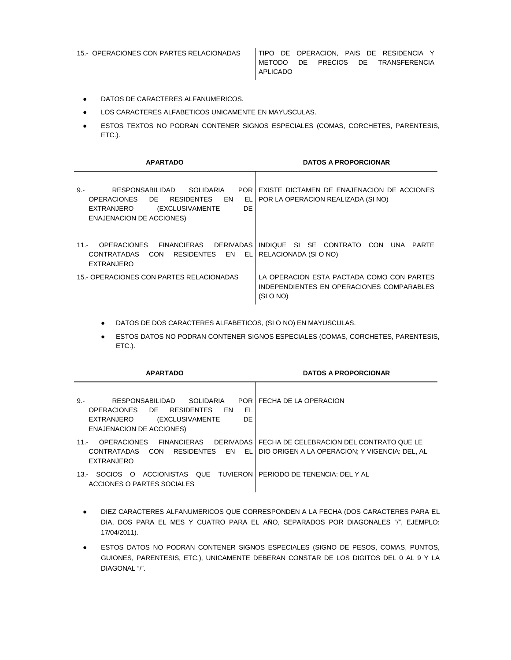15.- OPERACIONES CON PARTES RELACIONADAS TIPO DE OPERACION, PAIS DE RESIDENCIA Y METODO DE PRECIOS DE TRANSFERENCIA APLICADO

- DATOS DE CARACTERES ALFANUMERICOS.
- LOS CARACTERES ALFABETICOS UNICAMENTE EN MAYUSCULAS.
- **ESTOS TEXTOS NO PODRAN CONTENER SIGNOS ESPECIALES (COMAS, CORCHETES, PARENTESIS,** ETC.).

| <b>APARTADO</b>                                                                                                                                                                          | <b>DATOS A PROPORCIONAR</b>                                                                         |
|------------------------------------------------------------------------------------------------------------------------------------------------------------------------------------------|-----------------------------------------------------------------------------------------------------|
| $9 -$<br><b>RESPONSABILIDAD</b><br><b>SOLIDARIA</b><br>POR.<br>OPERACIONES DE<br><b>RESIDENTES</b><br>EN<br>EL<br>DE<br>EXTRANJERO<br>(EXCLUSIVAMENTE<br><b>ENAJENACION DE ACCIONES)</b> | EXISTE DICTAMEN DE ENAJENACION DE ACCIONES<br>POR LA OPERACION REALIZADA (SI NO)                    |
| <b>OPERACIONES</b><br><b>FINANCIFRAS</b><br>DERIVADAS I<br>$11 -$<br>CONTRATADAS<br>RESIDENTES EN<br>EL I<br><b>CON</b><br><b>EXTRANJERO</b>                                             | INDIQUE SI SE CONTRATO<br>CON<br>UNA<br>PARTF<br>RELACIONADA (SI O NO)                              |
| 15. OPERACIONES CON PARTES RELACIONADAS                                                                                                                                                  | LA OPERACION ESTA PACTADA COMO CON PARTES<br>INDEPENDIENTES EN OPERACIONES COMPARABLES<br>(SI O NO) |

- DATOS DE DOS CARACTERES ALFABETICOS, (SI O NO) EN MAYUSCULAS.
- ESTOS DATOS NO PODRAN CONTENER SIGNOS ESPECIALES (COMAS, CORCHETES, PARENTESIS, ETC.).

| <b>APARTADO</b>                                                                                                                                                              | <b>DATOS A PROPORCIONAR</b>                                                                            |
|------------------------------------------------------------------------------------------------------------------------------------------------------------------------------|--------------------------------------------------------------------------------------------------------|
| $9. -$<br>RESPONSABILIDAD<br>SOLIDARIA<br>POR I<br>OPERACIONES DE<br>EL<br>EN<br><b>RESIDENTES</b><br>DE<br>(EXCLUSIVAMENTE<br>EXTRANJERO<br><b>ENAJENACION DE ACCIONES)</b> | FECHA DE LA OPERACION                                                                                  |
| <b>OPERACIONES</b><br><b>FINANCIERAS</b><br>$11 -$<br>RESIDENTES EN<br>EL <sup>T</sup><br>CONTRATADAS<br>CON<br><b>EXTRANJERO</b>                                            | DERIVADAS   FECHA DE CELEBRACION DEL CONTRATO QUE LE<br>DIO ORIGEN A LA OPERACION: Y VIGENCIA: DEL. AL |
| ACCIONISTAS QUE TUVIERON PERIODO DE TENENCIA: DEL Y AL<br>-SOCIOS -<br>- റ<br>$13 -$<br>ACCIONES O PARTES SOCIALES                                                           |                                                                                                        |

- DIEZ CARACTERES ALFANUMERICOS QUE CORRESPONDEN A LA FECHA (DOS CARACTERES PARA EL DIA, DOS PARA EL MES Y CUATRO PARA EL AÑO, SEPARADOS POR DIAGONALES "/", EJEMPLO: 17/04/2011).
- **ESTOS DATOS NO PODRAN CONTENER SIGNOS ESPECIALES (SIGNO DE PESOS, COMAS, PUNTOS,** GUIONES, PARENTESIS, ETC.), UNICAMENTE DEBERAN CONSTAR DE LOS DIGITOS DEL 0 AL 9 Y LA DIAGONAL "/".